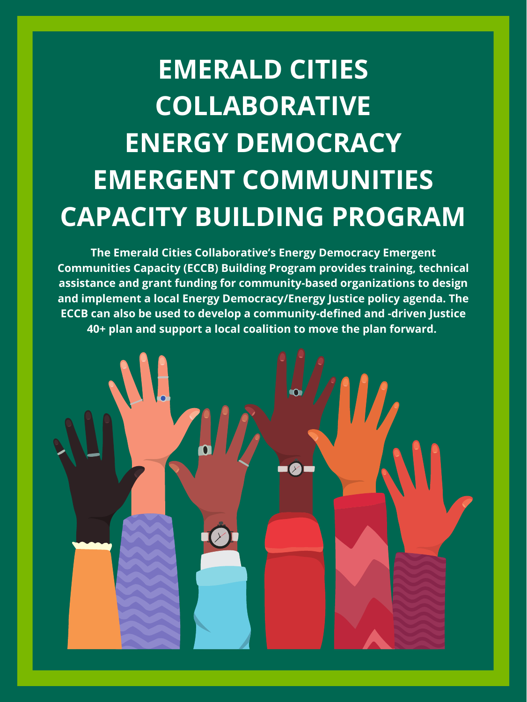**EMERALD CITIES COLLABORATIVE ENERGY DEMOCRACY EMERGENT COMMUNITIES CAPACITY BUILDING PROGRAM**

**The Emerald Cities Collaborative's Energy Democracy Emergent Communities Capacity (ECCB) Building Program provides training, technical assistance and grant funding for community-based organizations to design and implement a local Energy Democracy/Energy Justice policy agenda. The ECCB can also be used to develop a community-defined and -driven Justice 40+ plan and support a local coalition to move the plan forward.**



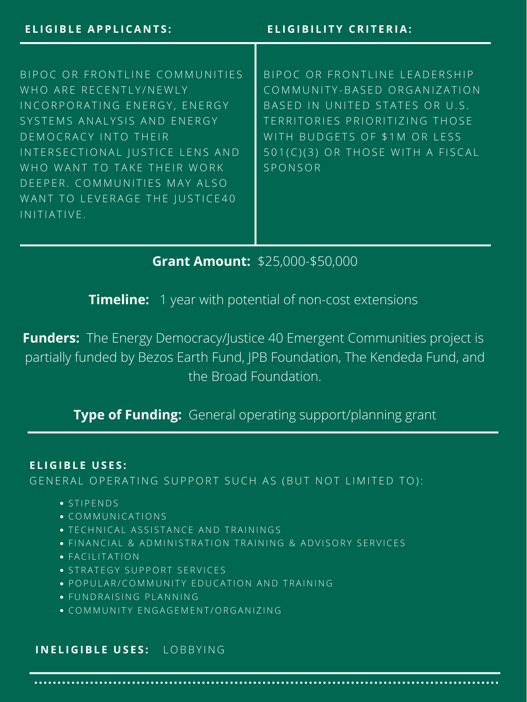B I P O C O R F R O N T L I N E C O M M U N I T I E S WHO ARE RECENTLY/NEWLY IN CORPORATING EN ERGY, ENERGY SYSTEMS ANALYSIS AND ENERGY D E M O C R A C Y I N T O T H E I R INTERSECTIONAL JUSTICE LENS AND WHO WANT TO TAKE THEIR WORK D E E P E R. COMMUNITIES MAY ALSO WANT TO LEVERAGE THE JUSTICE40 I N I T I A T I V E.

B I P O C O R F R O N T L I N E L E A D E R S H I P COMMUNITY-BASED ORGANIZATION BASED IN UNITED STATES OR U.S. TERRITORIES PRIORITIZING THOSE WITH BUDGETS OF \$1M OR LESS 501(C)(3) OR THOSE WITH A FISCAL **SPONSOR** 

#### **E L I G IBL E U S E S :**

### GENERAL OPERATING SUPPORT SUCH AS (BUT NOT LIMITED TO):

**Grant Amount:** \$25,000-\$50,000

**Timeline:** 1 year with potential of non-cost extensions

**Funders:** The Energy Democracy/Justice 40 Emergent Communities project is partially funded by Bezos Earth Fund, JPB Foundation, The Kendeda Fund, and

## the Broad Foundation.

## **Type of Funding:** General operating support/planning grant

- $\bullet$  STIPENDS
- C O M M U N I C A T I O N S
- **TECHNICAL ASSISTANCE AND TRAININGS**
- · FIN AN CIAL & AD MINISTRATION TRAINING & ADVISORY SERVICES
- **FACILITATION**
- **.** STRATEGY SUPPORT SERVICES
- · POPULAR/COMMUNITY EDUCATION AND TRAINING
- · FUNDRAISING PLANNING
- C O M M U N I T Y E N G A G E M E N T / O R G A N I Z I N G

#### **I N E L I G IBL E U S E S :** L O B B Y I N G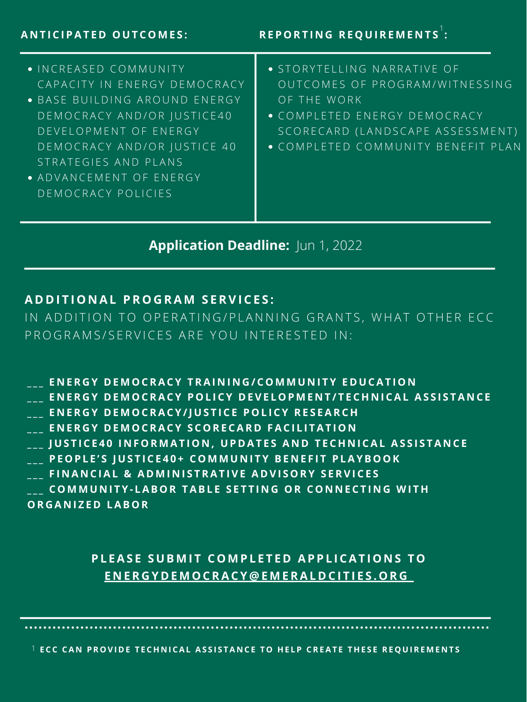#### **A D D I T I O N AL PR O G RA M S ERV I C E S :**

IN ADDITION TO OPERATING/PLANNING GRANTS, WHAT OTHER ECC P R O G R A M S / S E R V I C E S A R E Y O U I N T E R E S T E D I N :

ENERGY DEMOCRACY TRAINING/COMMUNITY EDUCATION

**Application Deadline:** Jun 1, 2022

- **ENERGY DEMOCRACY POLICY DEVELOPMENT/TECHNICAL ASSISTANCE**
- \_\_\_ ENERGY DEMOCRACY/JUSTICE POLICY RESEARCH
- ENERGY DEMOCRACY SCORECARD FACILITATION
- **\_\_\_ JUSTICE40 INFORMATION, UPDATES AND TECHNICAL ASSISTANCE**
- \_\_\_ PEOPLE'S JUSTICE40+ COMMUNITY BENEFIT PLAYBOOK
- \_\_\_ FINANCIAL & ADMINISTRATIVE ADVISORY SERVICES
- COMMUNITY-LABOR TABLE SETTING OR CONNECTING WITH **O R G A N I Z E D LAB O R**

## PLEASE SUBMIT COMPLETED APPLICATIONS TO ENERGYDEMO[CRAC](mailto:energydemocracy@emeraldcities.org)Y@EMERALDCITIES.ORG

1 ECC CAN PROVIDE TECHNICAL ASSISTANCE TO HELP CREATE THESE REQUIREMENTS

#### **A N T I C I PAT E D O U T C O M E S :**

**RE P O RT I N G RE Q U IRE M E N T S :** 1

- $\bullet$  INCREASED COMMUNITY CAPACITY IN ENERGY DEMOCRACY
- · BASE BUILDING AROUND ENERGY D E M O C R A C Y A N D / O R J U S T I C E 40 D E V E L O P M E N T O F E N E R G Y D E M O C R A C Y A N D / O R J U S T I C E 40 STRATEGIES AND PLANS
- **ADVANCEMENT OF ENERGY** D E M O C R A C Y P O L I C I E S
- **STORYTELLING NARRATIVE OF** OUTCOMES OF PROGRAM/WITNESSING OF THE WORK
- $\bullet$  COMPLETED ENERGY DEMOCRACY S C O R E C A R D ( L A N D S C A P E A S S E S S M E N T )
- $\bullet$  COMPLETED COMMUNITY BENEFIT PLAN